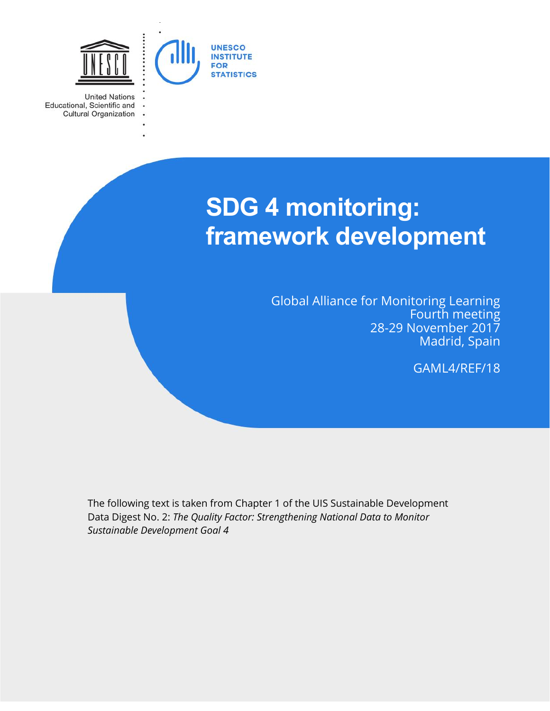

 $\ddot{\phantom{0}}$ 

**United Nations** Educational, Scientific and Cultural Organization

# **SDG 4 monitoring: framework development**

Global Alliance for Monitoring Learning Fourth meeting 28-29 November 2017 Madrid, Spain

GAML4/REF/18

The following text is taken from Chapter 1 of the UIS Sustainable Development Data Digest No. 2: *The Quality Factor: Strengthening National Data to Monitor Sustainable Development Goal 4*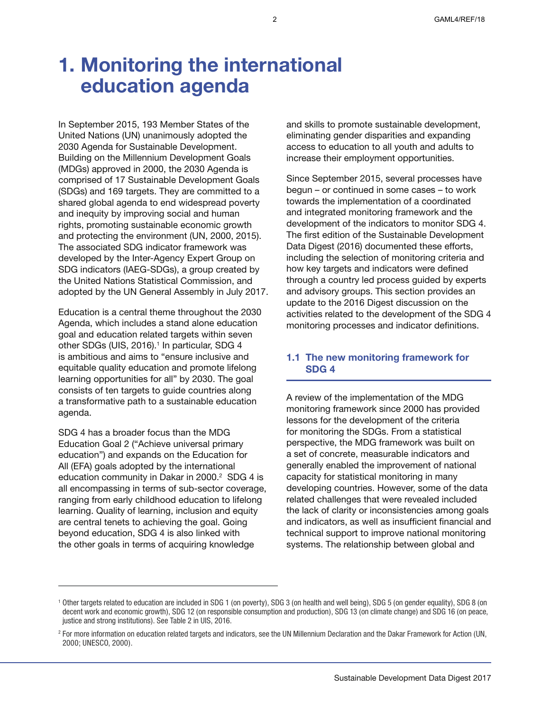# **1. Monitoring the international education agenda**

In September 2015, 193 Member States of the United Nations (UN) unanimously adopted the 2030 Agenda for Sustainable Development. Building on the Millennium Development Goals (MDGs) approved in 2000, the 2030 Agenda is comprised of 17 Sustainable Development Goals (SDGs) and 169 targets. They are committed to a shared global agenda to end widespread poverty and inequity by improving social and human rights, promoting sustainable economic growth and protecting the environment (UN, 2000, 2015). The associated SDG indicator framework was developed by the Inter-Agency Expert Group on SDG indicators (IAEG-SDGs), a group created by the United Nations Statistical Commission, and adopted by the UN General Assembly in July 2017.

Education is a central theme throughout the 2030 Agenda, which includes a stand alone education goal and education related targets within seven other SDGs (UIS, 2016).<sup>1</sup> In particular, SDG 4 is ambitious and aims to "ensure inclusive and equitable quality education and promote lifelong learning opportunities for all" by 2030. The goal consists of ten targets to guide countries along a transformative path to a sustainable education agenda.

SDG 4 has a broader focus than the MDG Education Goal 2 ("Achieve universal primary education") and expands on the Education for All (EFA) goals adopted by the international education community in Dakar in 2000.<sup>2</sup> SDG 4 is all encompassing in terms of sub-sector coverage, ranging from early childhood education to lifelong learning. Quality of learning, inclusion and equity are central tenets to achieving the goal. Going beyond education, SDG 4 is also linked with the other goals in terms of acquiring knowledge

and skills to promote sustainable development, eliminating gender disparities and expanding access to education to all youth and adults to increase their employment opportunities.

Since September 2015, several processes have begun – or continued in some cases – to work towards the implementation of a coordinated and integrated monitoring framework and the development of the indicators to monitor SDG 4. The first edition of the Sustainable Development Data Digest (2016) documented these efforts, including the selection of monitoring criteria and how key targets and indicators were defined through a country led process guided by experts and advisory groups. This section provides an update to the 2016 Digest discussion on the activities related to the development of the SDG 4 monitoring processes and indicator definitions.

### **1.1 The new monitoring framework for SDG 4**

A review of the implementation of the MDG monitoring framework since 2000 has provided lessons for the development of the criteria for monitoring the SDGs. From a statistical perspective, the MDG framework was built on a set of concrete, measurable indicators and generally enabled the improvement of national capacity for statistical monitoring in many developing countries. However, some of the data related challenges that were revealed included the lack of clarity or inconsistencies among goals and indicators, as well as insufficient financial and technical support to improve national monitoring systems. The relationship between global and

<sup>1</sup> Other targets related to education are included in SDG 1 (on poverty), SDG 3 (on health and well being), SDG 5 (on gender equality), SDG 8 (on decent work and economic growth), SDG 12 (on responsible consumption and production), SDG 13 (on climate change) and SDG 16 (on peace, justice and strong institutions). See Table 2 in UIS, 2016.

<sup>&</sup>lt;sup>2</sup> For more information on education related targets and indicators, see the UN Millennium Declaration and the Dakar Framework for Action (UN, 2000; UNESCO, 2000).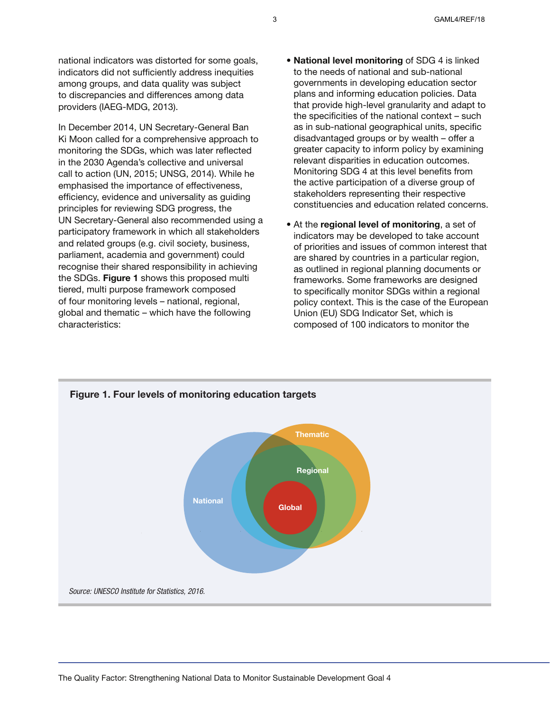national indicators was distorted for some goals, indicators did not sufficiently address inequities among groups, and data quality was subject to discrepancies and differences among data providers (IAEG-MDG, 2013).

In December 2014, UN Secretary-General Ban Ki Moon called for a comprehensive approach to monitoring the SDGs, which was later reflected in the 2030 Agenda's collective and universal call to action (UN, 2015; UNSG, 2014). While he emphasised the importance of effectiveness, efficiency, evidence and universality as guiding principles for reviewing SDG progress, the UN Secretary-General also recommended using a participatory framework in which all stakeholders and related groups (e.g. civil society, business, parliament, academia and government) could recognise their shared responsibility in achieving the SDGs. **Figure 1** shows this proposed multi tiered, multi purpose framework composed of four monitoring levels – national, regional, global and thematic – which have the following characteristics:

- **National level monitoring** of SDG 4 is linked to the needs of national and sub-national governments in developing education sector plans and informing education policies. Data that provide high-level granularity and adapt to the specificities of the national context – such as in sub-national geographical units, specific disadvantaged groups or by wealth – offer a greater capacity to inform policy by examining relevant disparities in education outcomes. Monitoring SDG 4 at this level benefits from the active participation of a diverse group of stakeholders representing their respective constituencies and education related concerns.
- At the **regional level of monitoring**, a set of indicators may be developed to take account of priorities and issues of common interest that are shared by countries in a particular region, as outlined in regional planning documents or frameworks. Some frameworks are designed to specifically monitor SDGs within a regional policy context. This is the case of the European Union (EU) SDG Indicator Set, which is composed of 100 indicators to monitor the

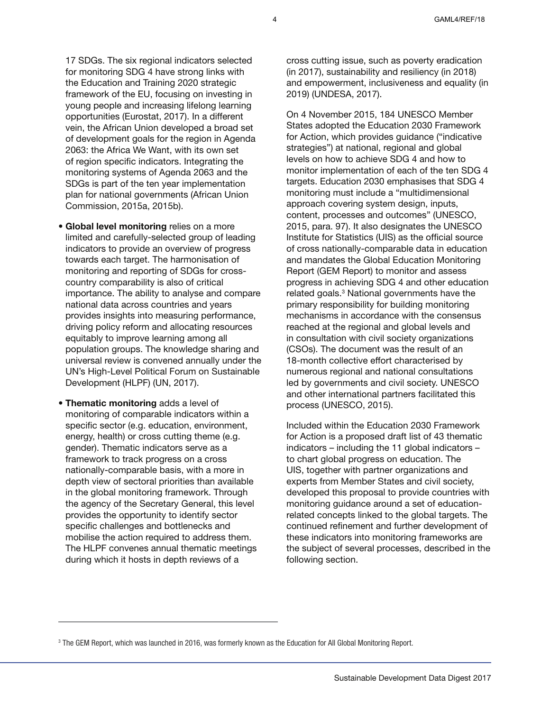17 SDGs. The six regional indicators selected for monitoring SDG 4 have strong links with the Education and Training 2020 strategic framework of the EU, focusing on investing in young people and increasing lifelong learning opportunities (Eurostat, 2017). In a different vein, the African Union developed a broad set of development goals for the region in Agenda 2063: the Africa We Want, with its own set of region specific indicators. Integrating the monitoring systems of Agenda 2063 and the SDGs is part of the ten year implementation plan for national governments (African Union Commission, 2015a, 2015b).

- **Global level monitoring** relies on a more limited and carefully-selected group of leading indicators to provide an overview of progress towards each target. The harmonisation of monitoring and reporting of SDGs for crosscountry comparability is also of critical importance. The ability to analyse and compare national data across countries and years provides insights into measuring performance, driving policy reform and allocating resources equitably to improve learning among all population groups. The knowledge sharing and universal review is convened annually under the UN's High-Level Political Forum on Sustainable Development (HLPF) (UN, 2017).
- **Thematic monitoring** adds a level of monitoring of comparable indicators within a specific sector (e.g. education, environment, energy, health) or cross cutting theme (e.g. gender). Thematic indicators serve as a framework to track progress on a cross nationally-comparable basis, with a more in depth view of sectoral priorities than available in the global monitoring framework. Through the agency of the Secretary General, this level provides the opportunity to identify sector specific challenges and bottlenecks and mobilise the action required to address them. The HLPF convenes annual thematic meetings during which it hosts in depth reviews of a

cross cutting issue, such as poverty eradication (in 2017), sustainability and resiliency (in 2018) and empowerment, inclusiveness and equality (in 2019) (UNDESA, 2017).

On 4 November 2015, 184 UNESCO Member States adopted the Education 2030 Framework for Action, which provides guidance ("indicative strategies") at national, regional and global levels on how to achieve SDG 4 and how to monitor implementation of each of the ten SDG 4 targets. Education 2030 emphasises that SDG 4 monitoring must include a "multidimensional approach covering system design, inputs, content, processes and outcomes" (UNESCO, 2015, para. 97). It also designates the UNESCO Institute for Statistics (UIS) as the official source of cross nationally-comparable data in education and mandates the Global Education Monitoring Report (GEM Report) to monitor and assess progress in achieving SDG 4 and other education related goals.<sup>3</sup> National governments have the primary responsibility for building monitoring mechanisms in accordance with the consensus reached at the regional and global levels and in consultation with civil society organizations (CSOs). The document was the result of an 18-month collective effort characterised by numerous regional and national consultations led by governments and civil society. UNESCO and other international partners facilitated this process (UNESCO, 2015).

Included within the Education 2030 Framework for Action is a proposed draft list of 43 thematic indicators – including the 11 global indicators – to chart global progress on education. The UIS, together with partner organizations and experts from Member States and civil society, developed this proposal to provide countries with monitoring guidance around a set of educationrelated concepts linked to the global targets. The continued refinement and further development of these indicators into monitoring frameworks are the subject of several processes, described in the following section.

<sup>3</sup> The GEM Report, which was launched in 2016, was formerly known as the Education for All Global Monitoring Report.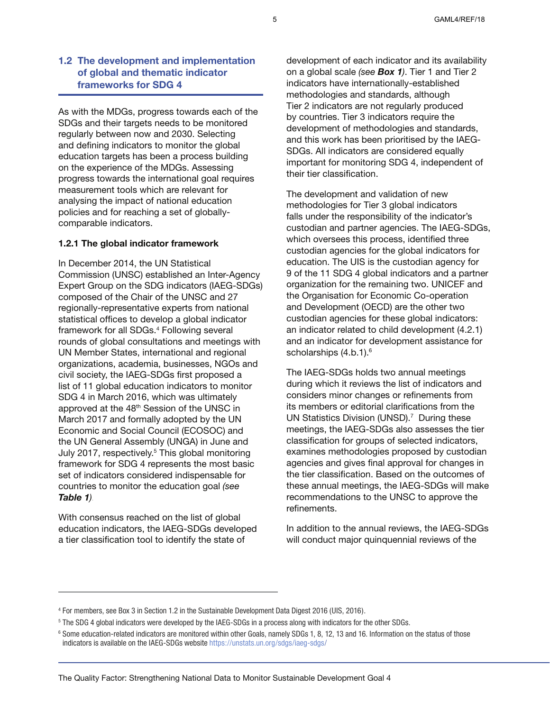# **1.2 The development and implementation of global and thematic indicator frameworks for SDG 4**

As with the MDGs, progress towards each of the SDGs and their targets needs to be monitored regularly between now and 2030. Selecting and defining indicators to monitor the global education targets has been a process building on the experience of the MDGs. Assessing progress towards the international goal requires measurement tools which are relevant for analysing the impact of national education policies and for reaching a set of globallycomparable indicators.

#### **1.2.1 The global indicator framework**

In December 2014, the UN Statistical Commission (UNSC) established an Inter-Agency Expert Group on the SDG indicators (IAEG-SDGs) composed of the Chair of the UNSC and 27 regionally-representative experts from national statistical offices to develop a global indicator framework for all SDGs.<sup>4</sup> Following several rounds of global consultations and meetings with UN Member States, international and regional organizations, academia, businesses, NGOs and civil society, the IAEG-SDGs first proposed a list of 11 global education indicators to monitor SDG 4 in March 2016, which was ultimately approved at the 48th Session of the UNSC in March 2017 and formally adopted by the UN Economic and Social Council (ECOSOC) and the UN General Assembly (UNGA) in June and July 2017, respectively.<sup>5</sup> This global monitoring framework for SDG 4 represents the most basic set of indicators considered indispensable for countries to monitor the education goal *(see Table 1).*

With consensus reached on the list of global education indicators, the IAEG-SDGs developed a tier classification tool to identify the state of

development of each indicator and its availability on a global scale *(see Box 1)*. Tier 1 and Tier 2 indicators have internationally-established methodologies and standards, although Tier 2 indicators are not regularly produced by countries. Tier 3 indicators require the development of methodologies and standards, and this work has been prioritised by the IAEG-SDGs. All indicators are considered equally important for monitoring SDG 4, independent of their tier classification.

The development and validation of new methodologies for Tier 3 global indicators falls under the responsibility of the indicator's custodian and partner agencies. The IAEG-SDGs, which oversees this process, identified three custodian agencies for the global indicators for education. The UIS is the custodian agency for 9 of the 11 SDG 4 global indicators and a partner organization for the remaining two. UNICEF and the Organisation for Economic Co-operation and Development (OECD) are the other two custodian agencies for these global indicators: an indicator related to child development (4.2.1) and an indicator for development assistance for scholarships (4.b.1).<sup>6</sup>

The IAEG-SDGs holds two annual meetings during which it reviews the list of indicators and considers minor changes or refinements from its members or editorial clarifications from the UN Statistics Division (UNSD).<sup>7</sup> During these meetings, the IAEG-SDGs also assesses the tier classification for groups of selected indicators, examines methodologies proposed by custodian agencies and gives final approval for changes in the tier classification. Based on the outcomes of these annual meetings, the IAEG-SDGs will make recommendations to the UNSC to approve the refinements.

In addition to the annual reviews, the IAEG-SDGs will conduct major quinquennial reviews of the

<sup>4</sup> For members, see Box 3 in Section 1.2 in the Sustainable Development Data Digest 2016 (UIS, 2016).

<sup>5</sup> The SDG 4 global indicators were developed by the IAEG-SDGs in a process along with indicators for the other SDGs.

<sup>&</sup>lt;sup>6</sup> Some education-related indicators are monitored within other Goals, namely SDGs 1, 8, 12, 13 and 16. Information on the status of those indicators is available on the IAEG-SDGs website https://unstats.un.org/sdgs/iaeg-sdgs/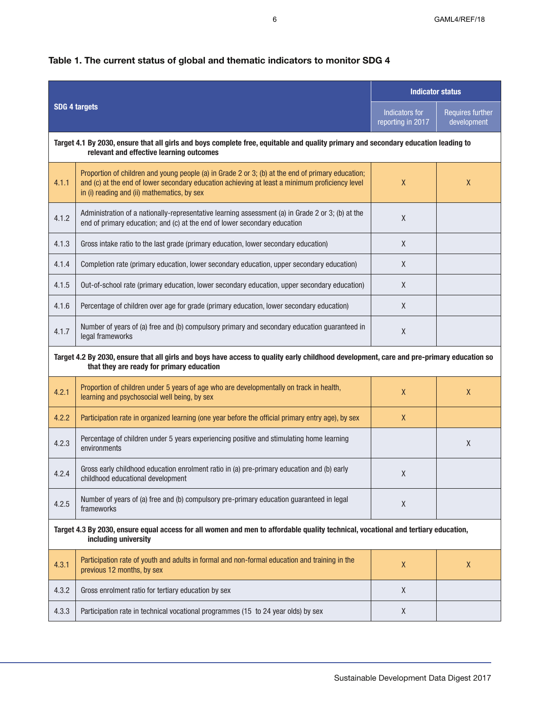| <b>SDG 4 targets</b>                                                                                                                                                           |                                                                                                                                                                                                                                                    | <b>Indicator status</b>             |                                 |  |  |  |
|--------------------------------------------------------------------------------------------------------------------------------------------------------------------------------|----------------------------------------------------------------------------------------------------------------------------------------------------------------------------------------------------------------------------------------------------|-------------------------------------|---------------------------------|--|--|--|
|                                                                                                                                                                                |                                                                                                                                                                                                                                                    | Indicators for<br>reporting in 2017 | Requires further<br>development |  |  |  |
| Target 4.1 By 2030, ensure that all girls and boys complete free, equitable and quality primary and secondary education leading to<br>relevant and effective learning outcomes |                                                                                                                                                                                                                                                    |                                     |                                 |  |  |  |
| 4.1.1                                                                                                                                                                          | Proportion of children and young people (a) in Grade 2 or 3; (b) at the end of primary education;<br>and (c) at the end of lower secondary education achieving at least a minimum proficiency level<br>in (i) reading and (ii) mathematics, by sex | $\mathsf{X}$                        | $\mathsf{X}$                    |  |  |  |
| 4.1.2                                                                                                                                                                          | Administration of a nationally-representative learning assessment (a) in Grade 2 or 3; (b) at the<br>end of primary education; and (c) at the end of lower secondary education                                                                     | X                                   |                                 |  |  |  |
| 4.1.3                                                                                                                                                                          | Gross intake ratio to the last grade (primary education, lower secondary education)                                                                                                                                                                | $\chi$                              |                                 |  |  |  |
| 4.1.4                                                                                                                                                                          | Completion rate (primary education, lower secondary education, upper secondary education)                                                                                                                                                          | $\chi$                              |                                 |  |  |  |
| 4.1.5                                                                                                                                                                          | Out-of-school rate (primary education, lower secondary education, upper secondary education)                                                                                                                                                       | $\chi$                              |                                 |  |  |  |
| 4.1.6                                                                                                                                                                          | Percentage of children over age for grade (primary education, lower secondary education)                                                                                                                                                           | $\chi$                              |                                 |  |  |  |
| 4.1.7                                                                                                                                                                          | Number of years of (a) free and (b) compulsory primary and secondary education guaranteed in<br>legal frameworks                                                                                                                                   | $\chi$                              |                                 |  |  |  |
|                                                                                                                                                                                | Target 4.2 By 2030, ensure that all girls and boys have access to quality early childhood development, care and pre-primary education so<br>that they are ready for primary education                                                              |                                     |                                 |  |  |  |
| 4.2.1                                                                                                                                                                          | Proportion of children under 5 years of age who are developmentally on track in health,<br>learning and psychosocial well being, by sex                                                                                                            | $\chi$                              | $\mathsf{X}$                    |  |  |  |
| 4.2.2                                                                                                                                                                          | Participation rate in organized learning (one year before the official primary entry age), by sex                                                                                                                                                  | $\mathsf{X}$                        |                                 |  |  |  |
| 4.2.3                                                                                                                                                                          | Percentage of children under 5 years experiencing positive and stimulating home learning<br>environments                                                                                                                                           |                                     | $\mathsf{X}$                    |  |  |  |
| 4.2.4                                                                                                                                                                          | Gross early childhood education enrolment ratio in (a) pre-primary education and (b) early<br>childhood educational development                                                                                                                    | χ                                   |                                 |  |  |  |
| 4.2.5                                                                                                                                                                          | Number of years of (a) free and (b) compulsory pre-primary education guaranteed in legal<br>frameworks                                                                                                                                             | $\pmb{\chi}$                        |                                 |  |  |  |
| Target 4.3 By 2030, ensure equal access for all women and men to affordable quality technical, vocational and tertiary education,<br>including university                      |                                                                                                                                                                                                                                                    |                                     |                                 |  |  |  |
| 4.3.1                                                                                                                                                                          | Participation rate of youth and adults in formal and non-formal education and training in the<br>previous 12 months, by sex                                                                                                                        | $\pmb{\chi}$                        | $\mathsf{X}$                    |  |  |  |
| 4.3.2                                                                                                                                                                          | Gross enrolment ratio for tertiary education by sex                                                                                                                                                                                                | $\mathsf X$                         |                                 |  |  |  |
| 4.3.3                                                                                                                                                                          | Participation rate in technical vocational programmes (15 to 24 year olds) by sex                                                                                                                                                                  | X                                   |                                 |  |  |  |

# **Table 1. The current status of global and thematic indicators to monitor SDG 4**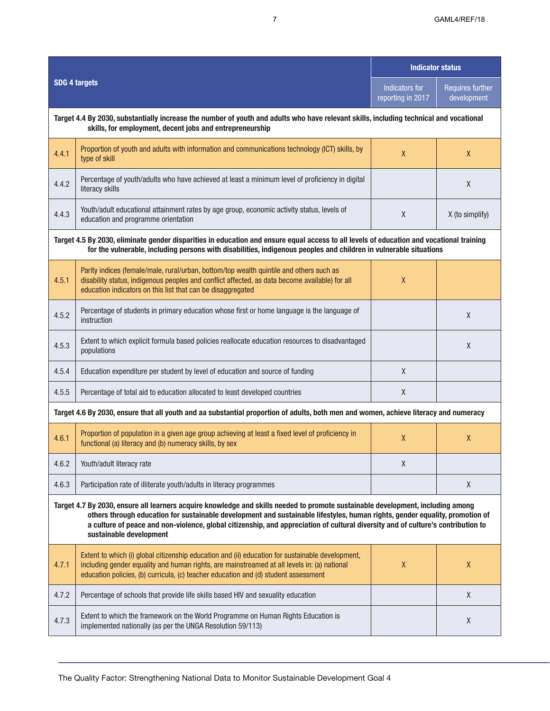|                                                                                                                                                                                                                                                                                                                                                                                                                                |                                                                                                                                                                                                                                                                                        | <b>Indicator status</b>             |                                        |  |  |  |
|--------------------------------------------------------------------------------------------------------------------------------------------------------------------------------------------------------------------------------------------------------------------------------------------------------------------------------------------------------------------------------------------------------------------------------|----------------------------------------------------------------------------------------------------------------------------------------------------------------------------------------------------------------------------------------------------------------------------------------|-------------------------------------|----------------------------------------|--|--|--|
|                                                                                                                                                                                                                                                                                                                                                                                                                                | <b>SDG 4 targets</b>                                                                                                                                                                                                                                                                   | Indicators for<br>reporting in 2017 | <b>Requires further</b><br>development |  |  |  |
| Target 4.4 By 2030, substantially increase the number of youth and adults who have relevant skills, including technical and vocational<br>skills, for employment, decent jobs and entrepreneurship                                                                                                                                                                                                                             |                                                                                                                                                                                                                                                                                        |                                     |                                        |  |  |  |
| 4.4.1                                                                                                                                                                                                                                                                                                                                                                                                                          | Proportion of youth and adults with information and communications technology (ICT) skills, by<br>type of skill                                                                                                                                                                        | X                                   | $\mathsf{X}$                           |  |  |  |
| 4.4.2                                                                                                                                                                                                                                                                                                                                                                                                                          | Percentage of youth/adults who have achieved at least a minimum level of proficiency in digital<br>literacy skills                                                                                                                                                                     |                                     | X                                      |  |  |  |
| 4.4.3                                                                                                                                                                                                                                                                                                                                                                                                                          | Youth/adult educational attainment rates by age group, economic activity status, levels of<br>education and programme orientation                                                                                                                                                      | X                                   | X (to simplify)                        |  |  |  |
| Target 4.5 By 2030, eliminate gender disparities in education and ensure equal access to all levels of education and vocational training<br>for the vulnerable, including persons with disabilities, indigenous peoples and children in vulnerable situations                                                                                                                                                                  |                                                                                                                                                                                                                                                                                        |                                     |                                        |  |  |  |
| 4.5.1                                                                                                                                                                                                                                                                                                                                                                                                                          | Parity indices (female/male, rural/urban, bottom/top wealth quintile and others such as<br>disability status, indigenous peoples and conflict affected, as data become available) for all<br>education indicators on this list that can be disaggregated                               | X                                   |                                        |  |  |  |
| 4.5.2                                                                                                                                                                                                                                                                                                                                                                                                                          | Percentage of students in primary education whose first or home language is the language of<br>instruction                                                                                                                                                                             |                                     | X                                      |  |  |  |
| 4.5.3                                                                                                                                                                                                                                                                                                                                                                                                                          | Extent to which explicit formula based policies reallocate education resources to disadvantaged<br>populations                                                                                                                                                                         |                                     | X                                      |  |  |  |
| 4.5.4                                                                                                                                                                                                                                                                                                                                                                                                                          | Education expenditure per student by level of education and source of funding                                                                                                                                                                                                          | X                                   |                                        |  |  |  |
| 4.5.5                                                                                                                                                                                                                                                                                                                                                                                                                          | Percentage of total aid to education allocated to least developed countries                                                                                                                                                                                                            | X                                   |                                        |  |  |  |
|                                                                                                                                                                                                                                                                                                                                                                                                                                | Target 4.6 By 2030, ensure that all youth and aa substantial proportion of adults, both men and women, achieve literacy and numeracy                                                                                                                                                   |                                     |                                        |  |  |  |
| 4.6.1                                                                                                                                                                                                                                                                                                                                                                                                                          | Proportion of population in a given age group achieving at least a fixed level of proficiency in<br>functional (a) literacy and (b) numeracy skills, by sex                                                                                                                            | X                                   | $\mathsf{X}$                           |  |  |  |
| 4.6.2                                                                                                                                                                                                                                                                                                                                                                                                                          | Youth/adult literacy rate                                                                                                                                                                                                                                                              | $\mathsf{X}$                        |                                        |  |  |  |
| 4.6.3                                                                                                                                                                                                                                                                                                                                                                                                                          | Participation rate of illiterate youth/adults in literacy programmes                                                                                                                                                                                                                   |                                     | X                                      |  |  |  |
| Target 4.7 By 2030, ensure all learners acquire knowledge and skills needed to promote sustainable development, including among<br>others through education for sustainable development and sustainable lifestyles, human rights, gender equality, promotion of<br>a culture of peace and non-violence, global citizenship, and appreciation of cultural diversity and of culture's contribution to<br>sustainable development |                                                                                                                                                                                                                                                                                        |                                     |                                        |  |  |  |
| 4.7.1                                                                                                                                                                                                                                                                                                                                                                                                                          | Extent to which (i) global citizenship education and (ii) education for sustainable development,<br>including gender equality and human rights, are mainstreamed at all levels in: (a) national<br>education policies, (b) curricula, (c) teacher education and (d) student assessment | $\pmb{\chi}$                        | X                                      |  |  |  |
| 4.7.2                                                                                                                                                                                                                                                                                                                                                                                                                          | Percentage of schools that provide life skills based HIV and sexuality education                                                                                                                                                                                                       |                                     | $\sf X$                                |  |  |  |
| 4.7.3                                                                                                                                                                                                                                                                                                                                                                                                                          | Extent to which the framework on the World Programme on Human Rights Education is<br>implemented nationally (as per the UNGA Resolution 59/113)                                                                                                                                        |                                     | X                                      |  |  |  |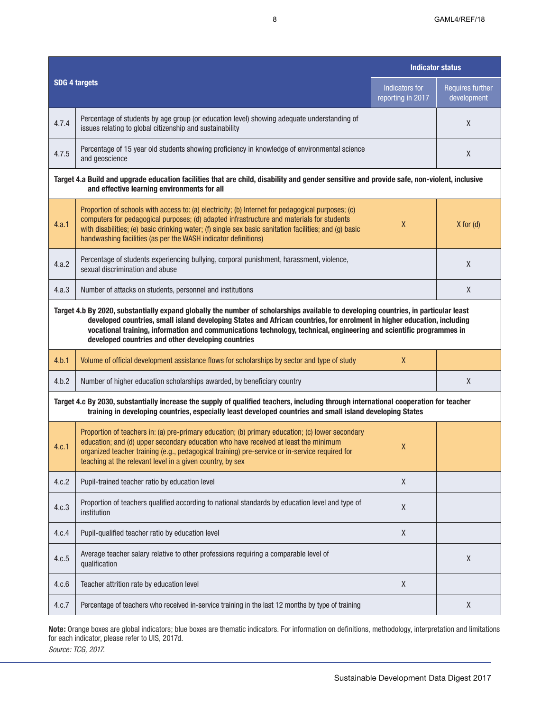| <b>SDG 4 targets</b>                                                                                                                                                                                                                                                                                                                                                                                                                        |                                                                                                                                                                                                                                                                                                                                                                            | <b>Indicator status</b>             |                                        |  |  |
|---------------------------------------------------------------------------------------------------------------------------------------------------------------------------------------------------------------------------------------------------------------------------------------------------------------------------------------------------------------------------------------------------------------------------------------------|----------------------------------------------------------------------------------------------------------------------------------------------------------------------------------------------------------------------------------------------------------------------------------------------------------------------------------------------------------------------------|-------------------------------------|----------------------------------------|--|--|
|                                                                                                                                                                                                                                                                                                                                                                                                                                             |                                                                                                                                                                                                                                                                                                                                                                            | Indicators for<br>reporting in 2017 | <b>Requires further</b><br>development |  |  |
| 4.7.4                                                                                                                                                                                                                                                                                                                                                                                                                                       | Percentage of students by age group (or education level) showing adequate understanding of<br>issues relating to global citizenship and sustainability                                                                                                                                                                                                                     |                                     | X                                      |  |  |
| 4.7.5                                                                                                                                                                                                                                                                                                                                                                                                                                       | Percentage of 15 year old students showing proficiency in knowledge of environmental science<br>and geoscience                                                                                                                                                                                                                                                             |                                     | X                                      |  |  |
| Target 4.a Build and upgrade education facilities that are child, disability and gender sensitive and provide safe, non-violent, inclusive<br>and effective learning environments for all                                                                                                                                                                                                                                                   |                                                                                                                                                                                                                                                                                                                                                                            |                                     |                                        |  |  |
| 4.a.1                                                                                                                                                                                                                                                                                                                                                                                                                                       | Proportion of schools with access to: (a) electricity; (b) Internet for pedagogical purposes; (c)<br>computers for pedagogical purposes; (d) adapted infrastructure and materials for students<br>with disabilities; (e) basic drinking water; (f) single sex basic sanitation facilities; and (g) basic<br>handwashing facilities (as per the WASH indicator definitions) | $\pmb{\chi}$                        | $X$ for $(d)$                          |  |  |
| 4.a.2                                                                                                                                                                                                                                                                                                                                                                                                                                       | Percentage of students experiencing bullying, corporal punishment, harassment, violence,<br>sexual discrimination and abuse                                                                                                                                                                                                                                                |                                     | X                                      |  |  |
| 4.a.3                                                                                                                                                                                                                                                                                                                                                                                                                                       | Number of attacks on students, personnel and institutions                                                                                                                                                                                                                                                                                                                  |                                     | $\mathsf X$                            |  |  |
| Target 4.b By 2020, substantially expand globally the number of scholarships available to developing countries, in particular least<br>developed countries, small island developing States and African countries, for enrolment in higher education, including<br>vocational training, information and communications technology, technical, engineering and scientific programmes in<br>developed countries and other developing countries |                                                                                                                                                                                                                                                                                                                                                                            |                                     |                                        |  |  |
| 4.b.1                                                                                                                                                                                                                                                                                                                                                                                                                                       | Volume of official development assistance flows for scholarships by sector and type of study                                                                                                                                                                                                                                                                               | $\mathsf{X}$                        |                                        |  |  |
| 4.b.2                                                                                                                                                                                                                                                                                                                                                                                                                                       | Number of higher education scholarships awarded, by beneficiary country                                                                                                                                                                                                                                                                                                    |                                     | X                                      |  |  |
| Target 4.c By 2030, substantially increase the supply of qualified teachers, including through international cooperation for teacher<br>training in developing countries, especially least developed countries and small island developing States                                                                                                                                                                                           |                                                                                                                                                                                                                                                                                                                                                                            |                                     |                                        |  |  |
| 4.c.1                                                                                                                                                                                                                                                                                                                                                                                                                                       | Proportion of teachers in: (a) pre-primary education; (b) primary education; (c) lower secondary<br>education; and (d) upper secondary education who have received at least the minimum<br>organized teacher training (e.g., pedagogical training) pre-service or in-service required for<br>teaching at the relevant level in a given country, by sex                     | $\boldsymbol{X}$                    |                                        |  |  |
| 4.c.2                                                                                                                                                                                                                                                                                                                                                                                                                                       | Pupil-trained teacher ratio by education level                                                                                                                                                                                                                                                                                                                             | $\mathsf X$                         |                                        |  |  |
| 4.c.3                                                                                                                                                                                                                                                                                                                                                                                                                                       | Proportion of teachers qualified according to national standards by education level and type of<br>institution                                                                                                                                                                                                                                                             | $\pmb{\mathsf{X}}$                  |                                        |  |  |
| 4.c.4                                                                                                                                                                                                                                                                                                                                                                                                                                       | Pupil-qualified teacher ratio by education level                                                                                                                                                                                                                                                                                                                           | $\mathsf X$                         |                                        |  |  |
| 4.c.5                                                                                                                                                                                                                                                                                                                                                                                                                                       | Average teacher salary relative to other professions requiring a comparable level of<br>qualification                                                                                                                                                                                                                                                                      |                                     | $\sf X$                                |  |  |
| 4.c.6                                                                                                                                                                                                                                                                                                                                                                                                                                       | Teacher attrition rate by education level                                                                                                                                                                                                                                                                                                                                  | $\mathsf X$                         |                                        |  |  |
| 4.c.7                                                                                                                                                                                                                                                                                                                                                                                                                                       | Percentage of teachers who received in-service training in the last 12 months by type of training                                                                                                                                                                                                                                                                          |                                     | X                                      |  |  |

**Note:** Orange boxes are global indicators; blue boxes are thematic indicators. For information on definitions, methodology, interpretation and limitations for each indicator, please refer to UIS, 2017d. *Source: TCG, 2017.*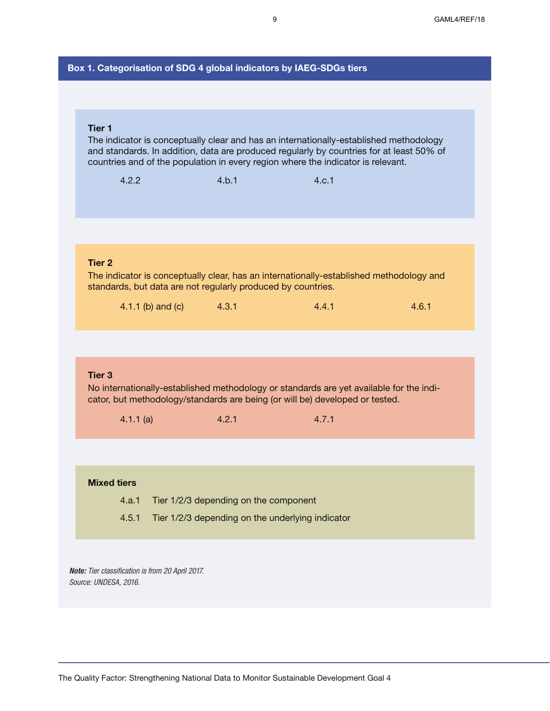# **Box 1. Categorisation of SDG 4 global indicators by IAEG-SDGs tiers**

### **Tier 1**

The indicator is conceptually clear and has an internationally-established methodology and standards. In addition, data are produced regularly by countries for at least 50% of countries and of the population in every region where the indicator is relevant.

| 4.2.2                                                                                                                                                                                        |                                       | 4.b.1                                            | 4.c.1 |       |  |  |  |
|----------------------------------------------------------------------------------------------------------------------------------------------------------------------------------------------|---------------------------------------|--------------------------------------------------|-------|-------|--|--|--|
|                                                                                                                                                                                              |                                       |                                                  |       |       |  |  |  |
|                                                                                                                                                                                              |                                       |                                                  |       |       |  |  |  |
| <b>Tier 2</b><br>The indicator is conceptually clear, has an internationally-established methodology and<br>standards, but data are not regularly produced by countries.                     |                                       |                                                  |       |       |  |  |  |
|                                                                                                                                                                                              | 4.1.1 (b) and (c)                     | 4.3.1                                            | 4.4.1 | 4.6.1 |  |  |  |
|                                                                                                                                                                                              |                                       |                                                  |       |       |  |  |  |
| Tier <sub>3</sub><br>No internationally-established methodology or standards are yet available for the indi-<br>cator, but methodology/standards are being (or will be) developed or tested. |                                       |                                                  |       |       |  |  |  |
| 4.1.1(a)                                                                                                                                                                                     |                                       | 4.2.1                                            | 4.7.1 |       |  |  |  |
|                                                                                                                                                                                              |                                       |                                                  |       |       |  |  |  |
| <b>Mixed tiers</b>                                                                                                                                                                           |                                       |                                                  |       |       |  |  |  |
| 4.a.1                                                                                                                                                                                        | Tier 1/2/3 depending on the component |                                                  |       |       |  |  |  |
| 4.5.1                                                                                                                                                                                        |                                       | Tier 1/2/3 depending on the underlying indicator |       |       |  |  |  |
|                                                                                                                                                                                              |                                       |                                                  |       |       |  |  |  |

*Note: Tier classification is from 20 April 2017. Source: UNDESA, 2016.*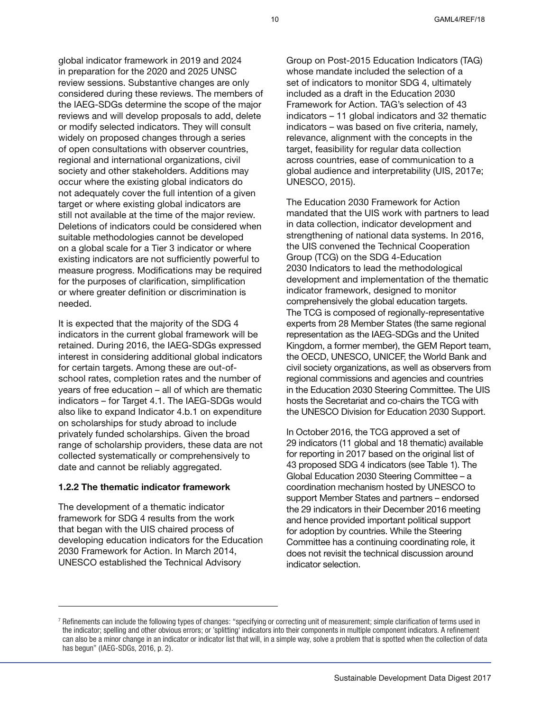global indicator framework in 2019 and 2024 in preparation for the 2020 and 2025 UNSC review sessions. Substantive changes are only considered during these reviews. The members of the IAEG-SDGs determine the scope of the major reviews and will develop proposals to add, delete or modify selected indicators. They will consult widely on proposed changes through a series of open consultations with observer countries, regional and international organizations, civil society and other stakeholders. Additions may occur where the existing global indicators do not adequately cover the full intention of a given target or where existing global indicators are still not available at the time of the major review. Deletions of indicators could be considered when suitable methodologies cannot be developed on a global scale for a Tier 3 indicator or where existing indicators are not sufficiently powerful to measure progress. Modifications may be required for the purposes of clarification, simplification or where greater definition or discrimination is needed.

It is expected that the majority of the SDG 4 indicators in the current global framework will be retained. During 2016, the IAEG-SDGs expressed interest in considering additional global indicators for certain targets. Among these are out-ofschool rates, completion rates and the number of years of free education – all of which are thematic indicators – for Target 4.1. The IAEG-SDGs would also like to expand Indicator 4.b.1 on expenditure on scholarships for study abroad to include privately funded scholarships. Given the broad range of scholarship providers, these data are not collected systematically or comprehensively to date and cannot be reliably aggregated.

#### **1.2.2 The thematic indicator framework**

The development of a thematic indicator framework for SDG 4 results from the work that began with the UIS chaired process of developing education indicators for the Education 2030 Framework for Action. In March 2014, UNESCO established the Technical Advisory

Group on Post-2015 Education Indicators (TAG) whose mandate included the selection of a set of indicators to monitor SDG 4, ultimately included as a draft in the Education 2030 Framework for Action. TAG's selection of 43 indicators – 11 global indicators and 32 thematic indicators – was based on five criteria, namely, relevance, alignment with the concepts in the target, feasibility for regular data collection across countries, ease of communication to a global audience and interpretability (UIS, 2017e; UNESCO, 2015).

The Education 2030 Framework for Action mandated that the UIS work with partners to lead in data collection, indicator development and strengthening of national data systems. In 2016, the UIS convened the Technical Cooperation Group (TCG) on the SDG 4-Education 2030 Indicators to lead the methodological development and implementation of the thematic indicator framework, designed to monitor comprehensively the global education targets. The TCG is composed of regionally-representative experts from 28 Member States (the same regional representation as the IAEG-SDGs and the United Kingdom, a former member), the GEM Report team, the OECD, UNESCO, UNICEF, the World Bank and civil society organizations, as well as observers from regional commissions and agencies and countries in the Education 2030 Steering Committee. The UIS hosts the Secretariat and co-chairs the TCG with the UNESCO Division for Education 2030 Support.

In October 2016, the TCG approved a set of 29 indicators (11 global and 18 thematic) available for reporting in 2017 based on the original list of 43 proposed SDG 4 indicators (see Table 1). The Global Education 2030 Steering Committee – a coordination mechanism hosted by UNESCO to support Member States and partners – endorsed the 29 indicators in their December 2016 meeting and hence provided important political support for adoption by countries. While the Steering Committee has a continuing coordinating role, it does not revisit the technical discussion around indicator selection.

<sup>&</sup>lt;sup>7</sup> Refinements can include the following types of changes: "specifying or correcting unit of measurement; simple clarification of terms used in the indicator; spelling and other obvious errors; or 'splitting' indicators into their components in multiple component indicators. A refinement can also be a minor change in an indicator or indicator list that will, in a simple way, solve a problem that is spotted when the collection of data has begun" (IAEG-SDGs, 2016, p. 2).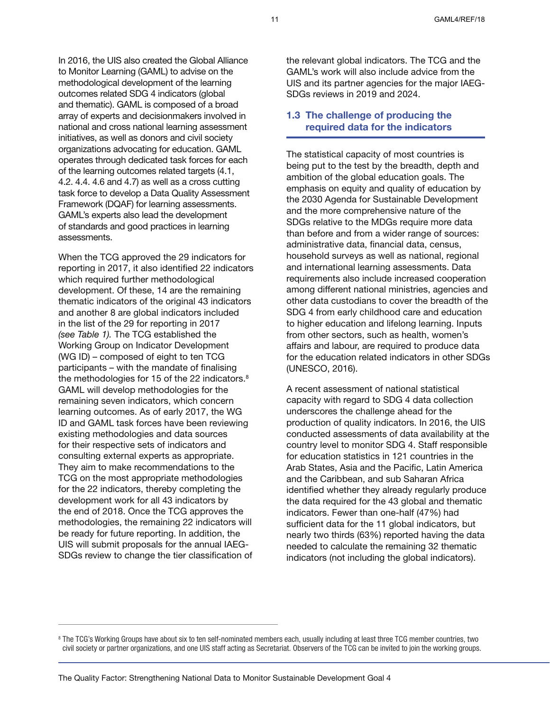In 2016, the UIS also created the Global Alliance to Monitor Learning (GAML) to advise on the methodological development of the learning outcomes related SDG 4 indicators (global and thematic). GAML is composed of a broad array of experts and decisionmakers involved in national and cross national learning assessment initiatives, as well as donors and civil society organizations advocating for education. GAML operates through dedicated task forces for each of the learning outcomes related targets (4.1, 4.2. 4.4. 4.6 and 4.7) as well as a cross cutting task force to develop a Data Quality Assessment Framework (DQAF) for learning assessments. GAML's experts also lead the development of standards and good practices in learning assessments.

When the TCG approved the 29 indicators for reporting in 2017, it also identified 22 indicators which required further methodological development. Of these, 14 are the remaining thematic indicators of the original 43 indicators and another 8 are global indicators included in the list of the 29 for reporting in 2017 *(see Table 1).* The TCG established the Working Group on Indicator Development (WG ID) – composed of eight to ten TCG participants – with the mandate of finalising the methodologies for 15 of the 22 indicators. $8$ GAML will develop methodologies for the remaining seven indicators, which concern learning outcomes. As of early 2017, the WG ID and GAML task forces have been reviewing existing methodologies and data sources for their respective sets of indicators and consulting external experts as appropriate. They aim to make recommendations to the TCG on the most appropriate methodologies for the 22 indicators, thereby completing the development work for all 43 indicators by the end of 2018. Once the TCG approves the methodologies, the remaining 22 indicators will be ready for future reporting. In addition, the UIS will submit proposals for the annual IAEG-SDGs review to change the tier classification of

the relevant global indicators. The TCG and the GAML's work will also include advice from the UIS and its partner agencies for the major IAEG-SDGs reviews in 2019 and 2024.

# **1.3 The challenge of producing the required data for the indicators**

The statistical capacity of most countries is being put to the test by the breadth, depth and ambition of the global education goals. The emphasis on equity and quality of education by the 2030 Agenda for Sustainable Development and the more comprehensive nature of the SDGs relative to the MDGs require more data than before and from a wider range of sources: administrative data, financial data, census, household surveys as well as national, regional and international learning assessments. Data requirements also include increased cooperation among different national ministries, agencies and other data custodians to cover the breadth of the SDG 4 from early childhood care and education to higher education and lifelong learning. Inputs from other sectors, such as health, women's affairs and labour, are required to produce data for the education related indicators in other SDGs (UNESCO, 2016).

A recent assessment of national statistical capacity with regard to SDG 4 data collection underscores the challenge ahead for the production of quality indicators. In 2016, the UIS conducted assessments of data availability at the country level to monitor SDG 4. Staff responsible for education statistics in 121 countries in the Arab States, Asia and the Pacific, Latin America and the Caribbean, and sub Saharan Africa identified whether they already regularly produce the data required for the 43 global and thematic indicators. Fewer than one-half (47%) had sufficient data for the 11 global indicators, but nearly two thirds (63%) reported having the data needed to calculate the remaining 32 thematic indicators (not including the global indicators).

<sup>&</sup>lt;sup>8</sup> The TCG's Working Groups have about six to ten self-nominated members each, usually including at least three TCG member countries, two civil society or partner organizations, and one UIS staff acting as Secretariat. Observers of the TCG can be invited to join the working groups.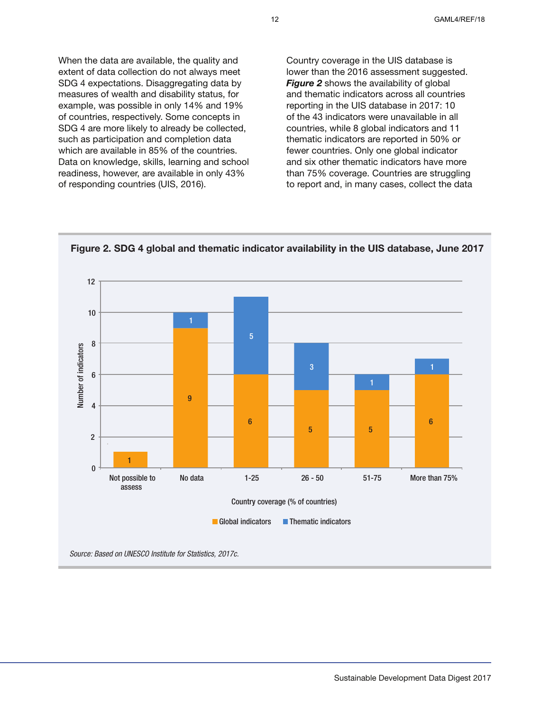When the data are available, the quality and extent of data collection do not always meet SDG 4 expectations. Disaggregating data by measures of wealth and disability status, for example, was possible in only 14% and 19% of countries, respectively. Some concepts in SDG 4 are more likely to already be collected, such as participation and completion data which are available in 85% of the countries. Data on knowledge, skills, learning and school readiness, however, are available in only 43% of responding countries (UIS, 2016).

Country coverage in the UIS database is lower than the 2016 assessment suggested. *Figure 2* shows the availability of global and thematic indicators across all countries reporting in the UIS database in 2017: 10 of the 43 indicators were unavailable in all countries, while 8 global indicators and 11 thematic indicators are reported in 50% or fewer countries. Only one global indicator and six other thematic indicators have more than 75% coverage. Countries are struggling to report and, in many cases, collect the data



**Figure 2. SDG 4 global and thematic indicator availability in the UIS database, June 2017**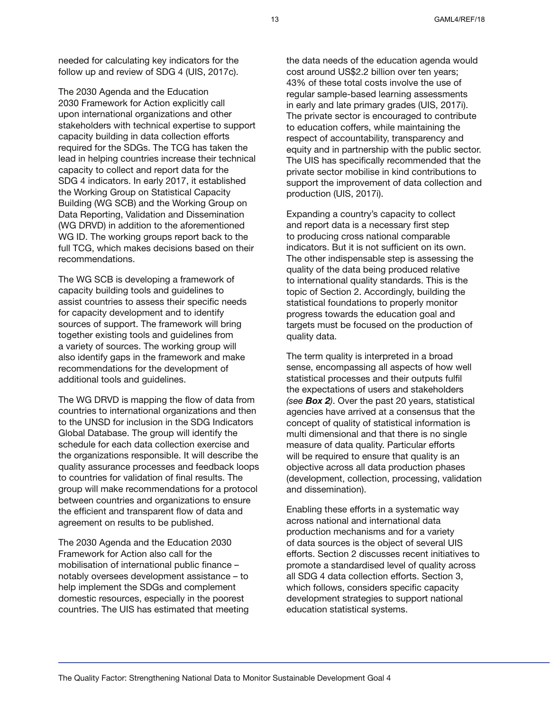needed for calculating key indicators for the follow up and review of SDG 4 (UIS, 2017c).

The 2030 Agenda and the Education 2030 Framework for Action explicitly call upon international organizations and other stakeholders with technical expertise to support capacity building in data collection efforts required for the SDGs. The TCG has taken the lead in helping countries increase their technical capacity to collect and report data for the SDG 4 indicators. In early 2017, it established the Working Group on Statistical Capacity Building (WG SCB) and the Working Group on Data Reporting, Validation and Dissemination (WG DRVD) in addition to the aforementioned WG ID. The working groups report back to the full TCG, which makes decisions based on their recommendations.

The WG SCB is developing a framework of capacity building tools and guidelines to assist countries to assess their specific needs for capacity development and to identify sources of support. The framework will bring together existing tools and guidelines from a variety of sources. The working group will also identify gaps in the framework and make recommendations for the development of additional tools and guidelines.

The WG DRVD is mapping the flow of data from countries to international organizations and then to the UNSD for inclusion in the SDG Indicators Global Database. The group will identify the schedule for each data collection exercise and the organizations responsible. It will describe the quality assurance processes and feedback loops to countries for validation of final results. The group will make recommendations for a protocol between countries and organizations to ensure the efficient and transparent flow of data and agreement on results to be published.

The 2030 Agenda and the Education 2030 Framework for Action also call for the mobilisation of international public finance – notably oversees development assistance – to help implement the SDGs and complement domestic resources, especially in the poorest countries. The UIS has estimated that meeting the data needs of the education agenda would cost around US\$2.2 billion over ten years; 43% of these total costs involve the use of regular sample-based learning assessments in early and late primary grades (UIS, 2017i). The private sector is encouraged to contribute to education coffers, while maintaining the respect of accountability, transparency and equity and in partnership with the public sector. The UIS has specifically recommended that the private sector mobilise in kind contributions to support the improvement of data collection and production (UIS, 2017i).

Expanding a country's capacity to collect and report data is a necessary first step to producing cross national comparable indicators. But it is not sufficient on its own. The other indispensable step is assessing the quality of the data being produced relative to international quality standards. This is the topic of Section 2. Accordingly, building the statistical foundations to properly monitor progress towards the education goal and targets must be focused on the production of quality data.

The term quality is interpreted in a broad sense, encompassing all aspects of how well statistical processes and their outputs fulfil the expectations of users and stakeholders *(see Box 2)*. Over the past 20 years, statistical agencies have arrived at a consensus that the concept of quality of statistical information is multi dimensional and that there is no single measure of data quality. Particular efforts will be required to ensure that quality is an objective across all data production phases (development, collection, processing, validation and dissemination).

Enabling these efforts in a systematic way across national and international data production mechanisms and for a variety of data sources is the object of several UIS efforts. Section 2 discusses recent initiatives to promote a standardised level of quality across all SDG 4 data collection efforts. Section 3, which follows, considers specific capacity development strategies to support national education statistical systems.